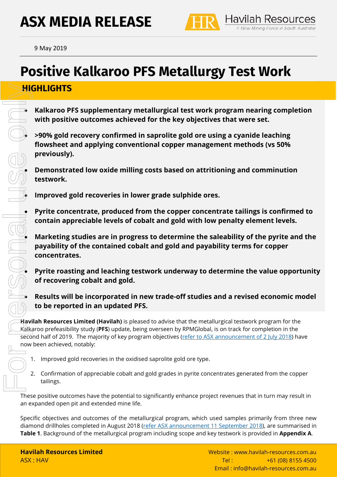# **ASX MEDIA RELEASE**



9 May <sup>2019</sup>

## **Positive Kalkaroo PFS Metallurgy Test Work**

## **HIGHLIGHTS**

• **Kalkaroo PFS supplementary metallurgical test work program nearing completion with positive outcomes achieved for the key objectives that were set.**

• **>90% gold recovery confirmed in saprolite gold ore using a cyanide leaching flowsheet and applying conventional copper management methods (vs 50% previously).** 

• **Demonstrated low oxide milling costs based on attritioning and comminution testwork.**

• **Improved gold recoveries in lower grade sulphide ores.**

• **Pyrite concentrate, produced from the copper concentrate tailings is confirmed to contain appreciable levels of cobalt and gold with low penalty element levels.** 

• **Marketing studies are in progress to determine the saleability of the pyrite and the payability of the contained cobalt and gold and payability terms for copper concentrates.**

• **Pyrite roasting and leaching testwork underway to determine the value opportunity of recovering cobalt and gold.**

• **Results will be incorporated in new trade-off studies and a revised economic model to be reported in an updated PFS.**

**Havilah Resources Limited (Havilah)** is pleased to advise that the metallurgical testwork program for the Kalkaroo prefeasibility study (**PFS**) update, being overseen by RPMGlobal, is on track for completion in the second half of 2019. The majority of key program objectives [\(refer to ASX announcement of 2 July 2018\)](http://www.havilah-resources.com.au/wp-content/uploads/2018/07/New_Kalkaroo_Development_Options_Being_Pursued_2Jul2018.pdf) have now been achieved, notably:

- 1. Improved gold recoveries in the oxidised saprolite gold ore type.
- 2. Confirmation of appreciable cobalt and gold grades in pyrite concentrates generated from the copper tailings.

These positive outcomes have the potential to significantly enhance project revenues that in turn may result in an expanded open pit and extended mine life.

Specific objectives and outcomes of the metallurgical program, which used samples primarily from three new diamond drillholes completed in August 2018 [\(refer ASX announcement 11 September 2018\)](https://www.havilah-resources.com.au/wp-content/uploads/2018/09/Kalkaroo_PFS_Metallurgical_Program_Update_11Sep18.pdf), are summarised in **Table 1**. Background of the metallurgical program including scope and key testwork is provided in **Appendix A**.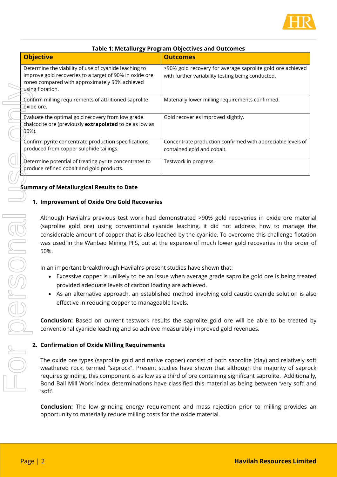

| <b>Objective</b>                                                                                                                                                                       | <b>Outcomes</b>                                                                                                 |
|----------------------------------------------------------------------------------------------------------------------------------------------------------------------------------------|-----------------------------------------------------------------------------------------------------------------|
| Determine the viability of use of cyanide leaching to<br>improve gold recoveries to a target of 90% in oxide ore<br>zones compared with approximately 50% achieved<br>using flotation. | >90% gold recovery for average saprolite gold ore achieved<br>with further variability testing being conducted. |
| Confirm milling requirements of attritioned saprolite<br>oxide ore.                                                                                                                    | Materially lower milling requirements confirmed.                                                                |
| Evaluate the optimal gold recovery from low grade<br>chalcocite ore (previously extrapolated to be as low as<br>$30\%$ ).                                                              | Gold recoveries improved slightly.                                                                              |
| Confirm pyrite concentrate production specifications<br>produced from copper sulphide tailings.                                                                                        | Concentrate production confirmed with appreciable levels of<br>contained gold and cobalt.                       |
| Determine potential of treating pyrite concentrates to<br>produce refined cobalt and gold products.                                                                                    | Testwork in progress.                                                                                           |
|                                                                                                                                                                                        |                                                                                                                 |

#### **Table 1: Metallurgy Program Objectives and Outcomes**

## **Summary of Metallurgical Results to Date**

#### **1. Improvement of Oxide Ore Gold Recoveries**

Although Havilah's previous test work had demonstrated >90% gold recoveries in oxide ore material (saprolite gold ore) using conventional cyanide leaching, it did not address how to manage the considerable amount of copper that is also leached by the cyanide. To overcome this challenge flotation was used in the Wanbao Mining PFS, but at the expense of much lower gold recoveries in the order of 50%.

In an important breakthrough Havilah's present studies have shown that:

- Excessive copper is unlikely to be an issue when average grade saprolite gold ore is being treated provided adequate levels of carbon loading are achieved.
- As an alternative approach, an established method involving cold caustic cyanide solution is also effective in reducing copper to manageable levels.

**Conclusion:** Based on current testwork results the saprolite gold ore will be able to be treated by conventional cyanide leaching and so achieve measurably improved gold revenues.

#### **2. Confirmation of Oxide Milling Requirements**

The oxide ore types (saprolite gold and native copper) consist of both saprolite (clay) and relatively soft weathered rock, termed "saprock". Present studies have shown that although the majority of saprock requires grinding, this component is as low as a third of ore containing significant saprolite. Additionally, Bond Ball Mill Work index determinations have classified this material as being between 'very soft' and 'soft'.

**Conclusion:** The low grinding energy requirement and mass rejection prior to milling provides an opportunity to materially reduce milling costs for the oxide material.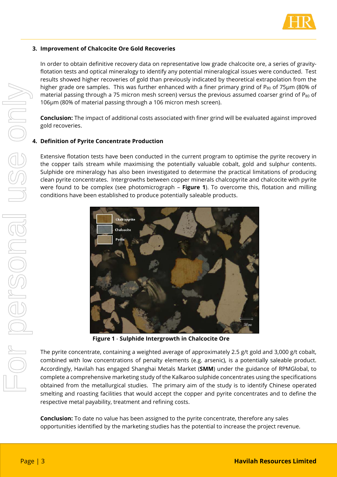

#### **3. Improvement of Chalcocite Ore Gold Recoveries**

In order to obtain definitive recovery data on representative low grade chalcocite ore, a series of gravityflotation tests and optical mineralogy to identify any potential mineralogical issues were conducted. Test results showed higher recoveries of gold than previously indicated by theoretical extrapolation from the higher grade ore samples. This was further enhanced with a finer primary grind of P<sub>80</sub> of 75 $\mu$ m (80% of material passing through a 75 micron mesh screen) versus the previous assumed coarser grind of  $P_{80}$  of 106µm (80% of material passing through a 106 micron mesh screen).

**Conclusion:** The impact of additional costs associated with finer grind will be evaluated against improved gold recoveries.

#### **4. Definition of Pyrite Concentrate Production**

Extensive flotation tests have been conducted in the current program to optimise the pyrite recovery in the copper tails stream while maximising the potentially valuable cobalt, gold and sulphur contents. Sulphide ore mineralogy has also been investigated to determine the practical limitations of producing clean pyrite concentrates. Intergrowths between copper minerals chalcopyrite and chalcocite with pyrite were found to be complex (see photomicrograph – **[Figure 1](#page-2-0)**). To overcome this, flotation and milling conditions have been established to produce potentially saleable products.



**Figure 1** - **Sulphide Intergrowth in Chalcocite Ore**

<span id="page-2-0"></span>The pyrite concentrate, containing a weighted average of approximately 2.5 g/t gold and 3,000 g/t cobalt, combined with low concentrations of penalty elements (e.g. arsenic), is a potentially saleable product. Accordingly, Havilah has engaged Shanghai Metals Market (**SMM**) under the guidance of RPMGlobal, to complete a comprehensive marketing study of the Kalkaroo sulphide concentrates using the specifications obtained from the metallurgical studies. The primary aim of the study is to identify Chinese operated smelting and roasting facilities that would accept the copper and pyrite concentrates and to define the respective metal payability, treatment and refining costs.

**Conclusion:** To date no value has been assigned to the pyrite concentrate, therefore any sales opportunities identified by the marketing studies has the potential to increase the project revenue.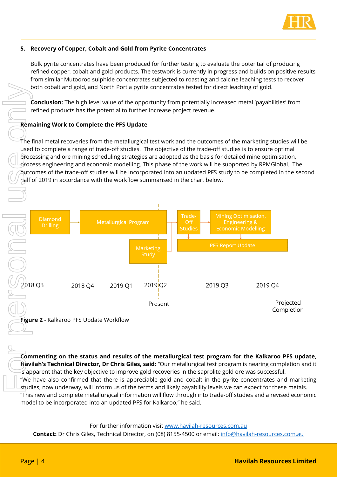

#### **5. Recovery of Copper, Cobalt and Gold from Pyrite Concentrates**

Bulk pyrite concentrates have been produced for further testing to evaluate the potential of producing refined copper, cobalt and gold products. The testwork is currently in progress and builds on positive results from similar Mutooroo sulphide concentrates subjected to roasting and calcine leaching tests to recover both cobalt and gold, and North Portia pyrite concentrates tested for direct leaching of gold.

**Conclusion:** The high level value of the opportunity from potentially increased metal 'payabilities' from refined products has the potential to further increase project revenue.

#### **Remaining Work to Complete the PFS Update**

The final metal recoveries from the metallurgical test work and the outcomes of the marketing studies will be used to complete a range of trade-off studies. The objective of the trade-off studies is to ensure optimal processing and ore mining scheduling strategies are adopted as the basis for detailed mine optimisation, process engineering and economic modelling. This phase of the work will be supported by RPMGlobal. The outcomes of the trade-off studies will be incorporated into an updated PFS study to be completed in the second half of 2019 in accordance with the workflow summarised in the chart below.



**Figure 2** - Kalkaroo PFS Update Workflow

**Commenting on the status and results of the metallurgical test program for the Kalkaroo PFS update, Havilah's Technical Director, Dr Chris Giles, said:** "Our metallurgical test program is nearing completion and it is apparent that the key objective to improve gold recoveries in the saprolite gold ore was successful.

"We have also confirmed that there is appreciable gold and cobalt in the pyrite concentrates and marketing studies, now underway, will inform us of the terms and likely payability levels we can expect for these metals. "This new and complete metallurgical information will flow through into trade-off studies and a revised economic model to be incorporated into an updated PFS for Kalkaroo," he said.

#### For further information visit [www.havilah-resources.com.au](http://www.havilah-resources.co.au/)

**Contact:** Dr Chris Giles, Technical Director, on (08) 8155-4500 or email: [info@havilah-resources.com.au](mailto:info@havilah-resources.com.au)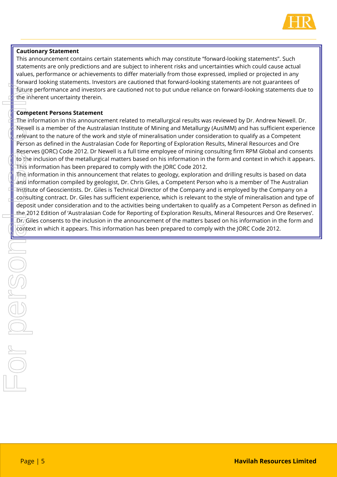

#### **Cautionary Statement**

This announcement contains certain statements which may constitute "forward-looking statements". Such statements are only predictions and are subject to inherent risks and uncertainties which could cause actual values, performance or achievements to differ materially from those expressed, implied or projected in any forward looking statements. Investors are cautioned that forward-looking statements are not guarantees of future performance and investors are cautioned not to put undue reliance on forward-looking statements due to the inherent uncertainty therein.

#### **Competent Persons Statement**

The information in this announcement related to metallurgical results was reviewed by Dr. Andrew Newell. Dr. Newell is a member of the Australasian Institute of Mining and Metallurgy (AusIMM) and has sufficient experience relevant to the nature of the work and style of mineralisation under consideration to qualify as a Competent Person as defined in the Australasian Code for Reporting of Exploration Results, Mineral Resources and Ore Reserves (JORC) Code 2012. Dr Newell is a full time employee of mining consulting firm RPM Global and consents to the inclusion of the metallurgical matters based on his information in the form and context in which it appears. This information has been prepared to comply with the JORC Code 2012.

The information in this announcement that relates to geology, exploration and drilling results is based on data and information compiled by geologist, Dr. Chris Giles, a Competent Person who is a member of The Australian Institute of Geoscientists. Dr. Giles is Technical Director of the Company and is employed by the Company on a consulting contract. Dr. Giles has sufficient experience, which is relevant to the style of mineralisation and type of deposit under consideration and to the activities being undertaken to qualify as a Competent Person as defined in the 2012 Edition of 'Australasian Code for Reporting of Exploration Results, Mineral Resources and Ore Reserves'. Dr. Giles consents to the inclusion in the announcement of the matters based on his information in the form and Context uncertainties to context in the strain of the method in which is a context in the Hofen in the information has been prepared to the Australia of the method in the Hofen and Metallurgy (AustIMI) and has sufficient r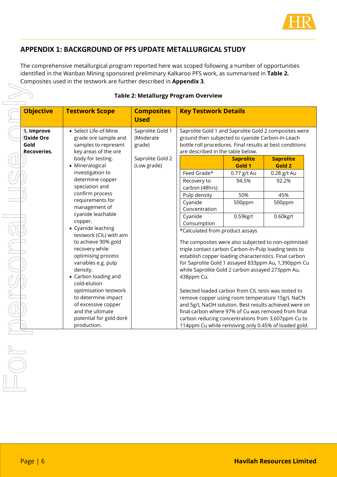

## **APPENDIX 1: BACKGROUND OF PFS UPDATE METALLURGICAL STUDY**

The comprehensive metallurgical program reported here was scoped following a number of opportunities identified in the Wanbao Mining sponsored preliminary Kalkaroo PFS work, as summarised in **Table 2.** Composites used in the testwork are further described in **Appendix 3**.

|                                                 |                                                                                                                                                                                                                                                                                                                                                                                                                                                                                                             |                                                                            | <b>Table 2: Metallurgy Program Overview</b>                                                                                                                                                                                                                                                                                                                                                                                                                                                                                                                                                                                                                                                                                   |                                                                                               |                                                                                    |
|-------------------------------------------------|-------------------------------------------------------------------------------------------------------------------------------------------------------------------------------------------------------------------------------------------------------------------------------------------------------------------------------------------------------------------------------------------------------------------------------------------------------------------------------------------------------------|----------------------------------------------------------------------------|-------------------------------------------------------------------------------------------------------------------------------------------------------------------------------------------------------------------------------------------------------------------------------------------------------------------------------------------------------------------------------------------------------------------------------------------------------------------------------------------------------------------------------------------------------------------------------------------------------------------------------------------------------------------------------------------------------------------------------|-----------------------------------------------------------------------------------------------|------------------------------------------------------------------------------------|
| <b>Objective</b>                                | <b>Testwork Scope</b>                                                                                                                                                                                                                                                                                                                                                                                                                                                                                       | <b>Composites</b><br><b>Used</b>                                           | <b>Key Testwork Details</b>                                                                                                                                                                                                                                                                                                                                                                                                                                                                                                                                                                                                                                                                                                   |                                                                                               |                                                                                    |
| ျံ. Improve<br>Oxide Ore<br>Gold<br>Recoveries. | • Select Life-of-Mine<br>grade ore sample and<br>samples to represent<br>key areas of the ore<br>body for testing.<br>• Mineralogical<br>investigation to<br>determine copper<br>speciation and<br>confirm process<br>requirements for<br>management of<br>cyanide leachable<br>copper.<br>• Cyanide leaching<br>testwork (CIL) with aim<br>to achieve 90% gold<br>recovery while<br>optimising process<br>variables e.g. pulp<br>density.<br>• Carbon loading and<br>cold-elution<br>optimisation testwork | Saprolite Gold 1<br>(Moderate<br>grade)<br>Saprolite Gold 2<br>(Low grade) | Saprolite Gold 1 and Saprolite Gold 2 composites were<br>ground then subjected to cyanide Carbon-In-Leach<br>bottle roll procedures. Final results at best conditions<br>are described in the table below.<br>Feed Grade*<br>Recovery to<br>carbon (48hrs)<br>Pulp density<br>Cyanide<br>Concentration<br>Cyanide<br>Consumption<br>*Calculated from product assays<br>The composites were also subjected to non-optimised<br>triple contact carbon Carbon-In-Pulp loading tests to<br>establish copper loading characteristics. Final carbon<br>for Saprolite Gold 1 assayed 833ppm Au, 1,390ppm Cu<br>while Saprolite Gold 2 carbon assayed 273ppm Au,<br>438ppm Cu.<br>Selected loaded carbon from CIL tests was tested to | <b>Saprolite</b><br>Gold 1<br>0.77 g/t Au<br>94.5%<br>50%<br>500ppm<br>$0.59$ <sub>kg/t</sub> | <b>Saprolite</b><br>Gold 2<br>0.28 g/t Au<br>92.2%<br>45%<br>500ppm<br>$0.60$ kg/t |
|                                                 | to determine impact<br>of excessive copper<br>and the ultimate<br>potential for gold doré<br>production.                                                                                                                                                                                                                                                                                                                                                                                                    |                                                                            | remove copper using room temperature 15g/L NaCN<br>and 5g/L NaOH solution. Best results achieved were on<br>final carbon where 97% of Cu was removed from final<br>carbon reducing concentrations from 3,607ppm Cu to<br>114ppm Cu while removing only 0.45% of loaded gold.                                                                                                                                                                                                                                                                                                                                                                                                                                                  |                                                                                               |                                                                                    |

#### **Table 2: Metallurgy Program Overview**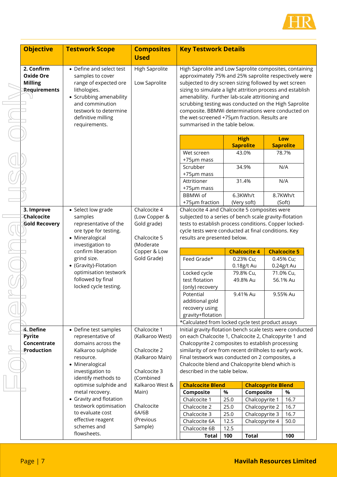

| <b>Objective</b>                                                 | <b>Testwork Scope</b>                                                                                                                                                                               | <b>Composites</b><br><b>Used</b>                                                   | <b>Key Testwork Details</b>                                                                                                                                                                                                                                                                                                                                                                                                                                                                |              |                                      |                                      |
|------------------------------------------------------------------|-----------------------------------------------------------------------------------------------------------------------------------------------------------------------------------------------------|------------------------------------------------------------------------------------|--------------------------------------------------------------------------------------------------------------------------------------------------------------------------------------------------------------------------------------------------------------------------------------------------------------------------------------------------------------------------------------------------------------------------------------------------------------------------------------------|--------------|--------------------------------------|--------------------------------------|
| 2. Confirm<br><b>Oxide Ore</b><br><b>Milling</b><br>Requirements | • Define and select test<br>samples to cover<br>range of expected ore<br>lithologies.<br>• Scrubbing amenability<br>and comminution<br>testwork to determine<br>definitive milling<br>requirements. | <b>High Saprolite</b><br>Low Saprolite                                             | High Saprolite and Low Saprolite composites, containing<br>approximately 75% and 25% saprolite respectively were<br>subjected to dry screen sizing followed by wet screen<br>sizing to simulate a light attrition process and establish<br>amenability. Further lab-scale attritioning and<br>scrubbing testing was conducted on the High Saprolite<br>composite. BBMWi determinations were conducted on<br>the wet-screened +75µm fraction. Results are<br>summarised in the table below. |              |                                      |                                      |
|                                                                  |                                                                                                                                                                                                     |                                                                                    |                                                                                                                                                                                                                                                                                                                                                                                                                                                                                            |              | <b>High</b><br><b>Saprolite</b>      | Low<br><b>Saprolite</b>              |
|                                                                  |                                                                                                                                                                                                     |                                                                                    | Wet screen<br>+75µm mass<br>Scrubber<br>+75µm mass<br>Attritioner                                                                                                                                                                                                                                                                                                                                                                                                                          |              | 43.0%<br>34.9%<br>31.4%              | 78.7%<br>N/A<br>N/A                  |
|                                                                  |                                                                                                                                                                                                     | Chalcocite 4                                                                       | +75µm mass<br><b>BBMWi of</b><br>+75µm fraction<br>Chalcocite 4 and Chalcocite 5 composites were                                                                                                                                                                                                                                                                                                                                                                                           |              | 6.3KWh/t<br>(Very soft)              | 8.7KWh/t<br>(Soft)                   |
| 3. Improve<br>Chalcocite<br><b>Gold Recovery</b>                 | • Select low grade<br>samples<br>representative of the<br>ore type for testing.<br>• Mineralogical<br>investigation to                                                                              | (Low Copper &<br>Gold grade)<br>Chalcocite 5<br>(Moderate                          | subjected to a series of bench scale gravity-flotation<br>tests to establish process conditions. Copper locked-<br>cycle tests were conducted at final conditions. Key<br>results are presented below.                                                                                                                                                                                                                                                                                     |              |                                      |                                      |
|                                                                  | confirm liberation                                                                                                                                                                                  | Copper & Low                                                                       |                                                                                                                                                                                                                                                                                                                                                                                                                                                                                            |              | <b>Chalcocite 4</b>                  | <b>Chalcocite 5</b>                  |
|                                                                  | grind size.<br>• (Gravity)-Flotation<br>optimisation testwork                                                                                                                                       | Gold Grade)                                                                        | Feed Grade*<br>Locked cycle                                                                                                                                                                                                                                                                                                                                                                                                                                                                |              | 0.23% Cu;<br>0.18g/t Au<br>79.8% Cu, | 0.45% Cu;<br>0.24g/t Au<br>71.0% Cu, |
|                                                                  | followed by final<br>locked cycle testing.                                                                                                                                                          |                                                                                    | test flotation<br>(only) recovery<br>Potential<br>additional gold                                                                                                                                                                                                                                                                                                                                                                                                                          |              | 49.8% Au<br>9.41% Au                 | 56.1% Au<br>9.55% Au                 |
|                                                                  |                                                                                                                                                                                                     |                                                                                    | recovery using<br>gravity+flotation<br>*Calculated from locked cycle test product assays                                                                                                                                                                                                                                                                                                                                                                                                   |              |                                      |                                      |
| 4. Define<br><b>Pyrite</b><br>Concentrate<br>Production          | • Define test samples<br>representative of<br>domains across the<br>Kalkaroo sulphide<br>resource.<br>• Mineralogical<br>investigation to                                                           | Chalcocite 1<br>(Kalkaroo West)<br>Chalcocite 2<br>(Kalkaroo Main)<br>Chalcocite 3 | Initial gravity-flotation bench scale tests were conducted<br>on each Chalcocite 1, Chalcocite 2, Chalcopyrite 1 and<br>Chalcopyrite 2 composites to establish processing<br>similarity of ore from recent drillholes to early work.<br>Final testwork was conducted on 2 composites, a<br>Chalcocite blend and Chalcopyrite blend which is<br>described in the table below.                                                                                                               |              |                                      |                                      |
|                                                                  | identify methods to<br>optimise sulphide and                                                                                                                                                        | (Combined<br>Kalkaroo West &                                                       | <b>Chalcocite Blend</b>                                                                                                                                                                                                                                                                                                                                                                                                                                                                    |              | <b>Chalcopyrite Blend</b>            |                                      |
|                                                                  | metal recovery.                                                                                                                                                                                     | Main)                                                                              | Composite                                                                                                                                                                                                                                                                                                                                                                                                                                                                                  | $\%$         | Composite                            | $\%$                                 |
|                                                                  | • Gravity and flotation<br>testwork optimisation                                                                                                                                                    | Chalcocite                                                                         | Chalcocite 1<br>Chalcocite 2                                                                                                                                                                                                                                                                                                                                                                                                                                                               | 25.0<br>25.0 | Chalcopyrite 1<br>Chalcopyrite 2     | 16.7<br>16.7                         |
|                                                                  | to evaluate cost<br>effective reagent                                                                                                                                                               | 6A/6B<br>(Previous                                                                 | Chalcocite 3                                                                                                                                                                                                                                                                                                                                                                                                                                                                               | 25.0         | Chalcopyrite 3                       | 16.7                                 |
|                                                                  | schemes and                                                                                                                                                                                         | Sample)                                                                            | Chalcocite 6A<br>Chalcocite 6B                                                                                                                                                                                                                                                                                                                                                                                                                                                             | 12.5<br>12.5 | Chalcopyrite 4                       | 50.0                                 |
|                                                                  | flowsheets.                                                                                                                                                                                         |                                                                                    | <b>Total</b>                                                                                                                                                                                                                                                                                                                                                                                                                                                                               | 100          | <b>Total</b>                         | 100                                  |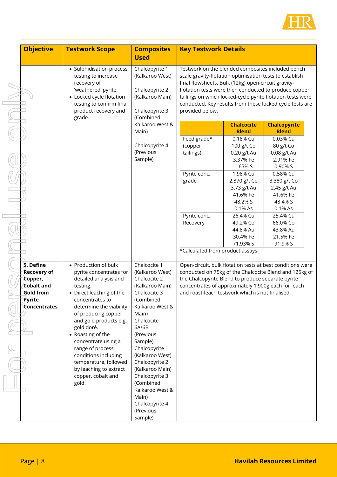

| <b>Objective</b>                                                                                                                                                                | <b>Testwork Scope</b>                                                                                                                                                                                                                                                                                                                                                                                   | <b>Composites</b><br><b>Used</b>                                                                                                                                                                                                                                                                                                                                          | <b>Key Testwork Details</b>                                                                                                                                                                                                                                                          |                                                                                                                                                                                                                       |                                                                                                                                                                                                                     |  |
|---------------------------------------------------------------------------------------------------------------------------------------------------------------------------------|---------------------------------------------------------------------------------------------------------------------------------------------------------------------------------------------------------------------------------------------------------------------------------------------------------------------------------------------------------------------------------------------------------|---------------------------------------------------------------------------------------------------------------------------------------------------------------------------------------------------------------------------------------------------------------------------------------------------------------------------------------------------------------------------|--------------------------------------------------------------------------------------------------------------------------------------------------------------------------------------------------------------------------------------------------------------------------------------|-----------------------------------------------------------------------------------------------------------------------------------------------------------------------------------------------------------------------|---------------------------------------------------------------------------------------------------------------------------------------------------------------------------------------------------------------------|--|
| • Sulphidisation process<br>testing to increase<br>recovery of<br>'weathered' pyrite.<br>• Locked cycle flotation<br>testing to confirm final<br>product recovery and<br>grade. | Chalcopyrite 1<br>(Kalkaroo West)<br>Chalcopyrite 2<br>(Kalkaroo Main)<br>Chalcopyrite 3<br>(Combined                                                                                                                                                                                                                                                                                                   | Testwork on the blended composites included bench<br>scale gravity-flotation optimisation tests to establish<br>final flowsheets. Bulk (12kg) open-circuit gravity-<br>flotation tests were then conducted to produce copper<br>tailings on which locked-cycle pyrite flotation tests were<br>conducted. Key results from these locked cycle tests are<br>provided below. |                                                                                                                                                                                                                                                                                      |                                                                                                                                                                                                                       |                                                                                                                                                                                                                     |  |
|                                                                                                                                                                                 |                                                                                                                                                                                                                                                                                                                                                                                                         | Kalkaroo West &                                                                                                                                                                                                                                                                                                                                                           |                                                                                                                                                                                                                                                                                      | <b>Chalcocite</b>                                                                                                                                                                                                     | <b>Chalcopyrite</b>                                                                                                                                                                                                 |  |
|                                                                                                                                                                                 |                                                                                                                                                                                                                                                                                                                                                                                                         | Main)<br>Chalcopyrite 4<br>(Previous<br>Sample)                                                                                                                                                                                                                                                                                                                           | Feed grade*<br>(copper<br>tailings)<br>Pyrite conc.<br>grade<br>Pyrite conc.<br>Recovery                                                                                                                                                                                             | <b>Blend</b><br>0.18% Cu<br>100 g/t Co<br>0.20 g/t Au<br>3.37% Fe<br>1.65% S<br>1.98% Cu<br>2,870 g/t Co<br>3.73 g/t Au<br>41.6% Fe<br>48.2% S<br>0.1% As<br>26.4% Cu<br>49.2% Co<br>44.8% Au<br>30.4% Fe<br>71.93% S | <b>Blend</b><br>0.03% Cu<br>80 g/t Co<br>0.08 g/t Au<br>2.91% Fe<br>0.90% S<br>0.58% Cu<br>3,380 g/t Co<br>2.45 g/t Au<br>41.6% Fe<br>48.4% S<br>0.1% As<br>25.4% Cu<br>66.0% Co<br>43.8% Au<br>21.5% Fe<br>91.9% S |  |
|                                                                                                                                                                                 |                                                                                                                                                                                                                                                                                                                                                                                                         |                                                                                                                                                                                                                                                                                                                                                                           | *Calculated from product assays                                                                                                                                                                                                                                                      |                                                                                                                                                                                                                       |                                                                                                                                                                                                                     |  |
| 5. Define<br><b>Recovery of</b><br>Copper,<br>Cobalt and<br><b>Gold from</b><br>Pyrite<br>Concentrates                                                                          | • Production of bulk<br>pyrite concentrates for<br>detailed analysis and<br>testing.<br>• Direct leaching of the<br>concentrates to<br>determine the viability<br>of producing copper<br>and gold products e.g.<br>gold doré.<br>• Roasting of the<br>concentrate using a<br>range of process<br>conditions including<br>temperature, followed<br>by leaching to extract<br>copper, cobalt and<br>gold. | Chalcocite 1<br>(Kalkaroo West)<br>Chalcocite 2<br>(Kalkaroo Main)<br>Chalcocite 3<br>(Combined<br>Kalkaroo West &<br>Main)<br>Chalcocite<br>6A/6B<br>(Previous<br>Sample)<br>Chalcopyrite 1<br>(Kalkaroo West)<br>Chalcopyrite 2<br>(Kalkaroo Main)<br>Chalcopyrite 3<br>(Combined<br>Kalkaroo West &<br>Main)<br>Chalcopyrite 4<br>(Previous<br>Sample)                 | Open-circuit, bulk flotation tests at best conditions were<br>conducted on 75kg of the Chalcocite Blend and 125kg of<br>the Chalcopyrite Blend to produce separate pyrite<br>concentrates of approximately 1,900g each for leach<br>and roast-leach testwork which is not finalised. |                                                                                                                                                                                                                       |                                                                                                                                                                                                                     |  |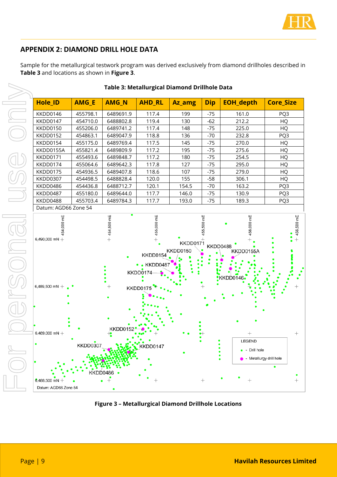

## **APPENDIX 2: DIAMOND DRILL HOLE DATA**

Sample for the metallurgical testwork program was derived exclusively from diamond drillholes described in **Table 3** and locations as shown in **Figure 3**.



#### **Table 3: Metallurgical Diamond Drillhole Data**

**Figure 3 – Metallurgical Diamond Drillhole Locations**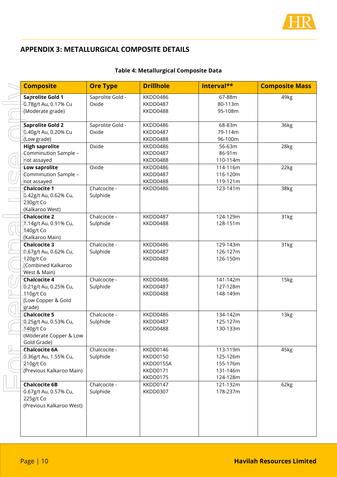

## **APPENDIX 3: METALLURGICAL COMPOSITE DETAILS**

#### **Table 4: Metallurgical Composite Data**

| <b>Composite</b>                                                                            | <b>Ore Type</b>           | <b>Drillhole</b>                                          | Interval**                                               | <b>Composite Mass</b> |
|---------------------------------------------------------------------------------------------|---------------------------|-----------------------------------------------------------|----------------------------------------------------------|-----------------------|
| Saprolite Gold 1<br>0.78g/t Au, 0.17% Cu<br>(Moderate grade)                                | Saprolite Gold -<br>Oxide | KKDD0486<br>KKDD0487<br>KKDD0488                          | 67-88m<br>80-113m<br>95-108m                             | 49kg                  |
| Saprolite Gold 2<br>0.40g/t Au, 0.20% Cu<br>(Low grade)                                     | Saprolite Gold -<br>Oxide | KKDD0486<br>KKDD0487<br>KKDD0488                          | 68-83m<br>79-114m<br>96-100m                             | 36kg                  |
| <b>High saprolite</b><br>Comminution Sample -<br>not assayed                                | Oxide                     | KKDD0486<br>KKDD0487<br>KKDD0488                          | 56-63m<br>86-91m<br>110-114m                             | 28kg                  |
| <b>Low saprolite</b><br>Comminution Sample -<br>not assayed                                 | Oxide                     | KKDD0486<br>KKDD0487<br>KKDD0488                          | 114-116m<br>116-120m<br>119-121m                         | 22kg                  |
| Chalcocite 1<br>0.42g/t Au, 0.62% Cu,<br>230g/t Co<br>(Kalkaroo West)                       | Chalcocite -<br>Sulphide  | KKDD0486                                                  | 123-141m                                                 | 38kg                  |
| <b>Chalcocite 2</b><br>1.14g/t Au, 0.91% Cu,<br>140g/t Co<br>(Kalkaroo Main)                | Chalcocite -<br>Sulphide  | KKDD0487<br>KKDD0488                                      | 124-129m<br>128-151m                                     | 31kg                  |
| Chalcocite 3<br>0.67g/t Au, 0.62% Cu,<br>120g/t Co<br>Combined Kalkaroo)<br>West & Main)    | Chalcocite -<br>Sulphide  | KKDD0486<br>KKDD0487<br>KKDD0488                          | 129-143m<br>126-127m<br>126-150m                         | 31kg                  |
| Chalcocite 4<br>0.21g/t Au, 0.25% Cu,<br>110g/t Co<br>(Low Copper & Gold<br>grade)          | Chalcocite -<br>Sulphide  | KKDD0486<br>KKDD0487<br>KKDD0488                          | 141-142m<br>127-128m<br>148-149m                         | 15kg                  |
| Chalcocite 5<br>0.25g/t Au, 0.53% Cu,<br>140g/t Co<br>(Moderate Copper & Low<br>Gold Grade) | Chalcocite -<br>Sulphide  | KKDD0486<br>KKDD0487<br>KKDD0488                          | 134-142m<br>125-127m<br>130-133m                         | 13kg                  |
| <b>Chalcocite 6A</b><br>0.36g/t Au, 1.55% Cu,<br>$210g/t$ Co<br>(Previous Kalkaroo Main)    | Chalcocite -<br>Sulphide  | KKDD0146<br>KKDD0150<br>KKDD0155A<br>KKDD0171<br>KKDD0175 | 113-119m<br>125-126m<br>155-176m<br>131-146m<br>124-128m | 45kg                  |
| <b>Chalcocite 6B</b><br>0.67g/t Au, 0.57% Cu,<br>225g/t Co<br>(Previous Kalkaroo West)      | Chalcocite -<br>Sulphide  | KKDD0147<br><b>KKDD0307</b>                               | 121-132m<br>178-237m                                     | 62kg                  |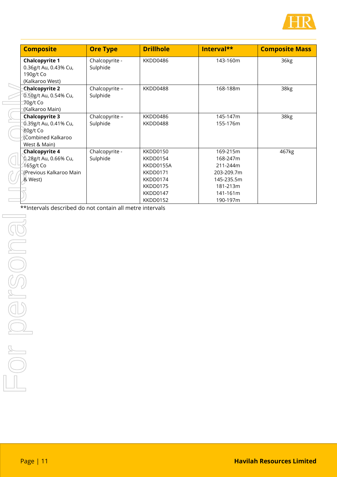

|               | <b>Composite</b>                                                                                                                                              | <b>Ore Type</b>            | <b>Drillhole</b>                                                                              | Interval**                                                                                       | <b>Composite Mass</b> |
|---------------|---------------------------------------------------------------------------------------------------------------------------------------------------------------|----------------------------|-----------------------------------------------------------------------------------------------|--------------------------------------------------------------------------------------------------|-----------------------|
|               | <b>Chalcopyrite 1</b><br>0.36g/t Au, 0.43% Cu,<br>190g/t Co<br>(Kalkaroo West)                                                                                | Chalcopyrite -<br>Sulphide | KKDD0486                                                                                      | 143-160m                                                                                         | 36kg                  |
|               | <b>Chalcopyrite 2</b><br>0.50g/t Au, 0.54% Cu,<br>70g/t Co<br>(Kalkaroo Main)                                                                                 | Chalcopyrite -<br>Sulphide | KKDD0488                                                                                      | 168-188m                                                                                         | 38kg                  |
|               | <b>Chalcopyrite 3</b><br>0.39g/t Au, 0.41% Cu,<br>80g/t Co<br>Combined Kalkaroo<br>West & Main)                                                               | Chalcopyrite -<br>Sulphide | KKDD0486<br>KKDD0488                                                                          | 145-147m<br>155-176m                                                                             | 38kg                  |
|               | <b>Chalcopyrite 4</b><br>0.28g/t Au, 0.66% Cu,<br>165g/t Co<br>(Previous Kalkaroo Main<br>& West)<br>**Intervals described do not contain all metre intervals | Chalcopyrite -<br>Sulphide | KKDD0150<br>KKDD0154<br>KKDD0155A<br>KKDD0171<br>KKDD0174<br>KKDD0175<br>KKDD0147<br>KKDD0152 | 169-215m<br>168-247m<br>211-244m<br>203-209.7m<br>145-235.5m<br>181-213m<br>141-161m<br>190-197m | 467kg                 |
|               |                                                                                                                                                               |                            |                                                                                               |                                                                                                  |                       |
|               |                                                                                                                                                               |                            |                                                                                               |                                                                                                  |                       |
| $\frac{1}{2}$ |                                                                                                                                                               |                            |                                                                                               |                                                                                                  |                       |
|               |                                                                                                                                                               |                            |                                                                                               |                                                                                                  |                       |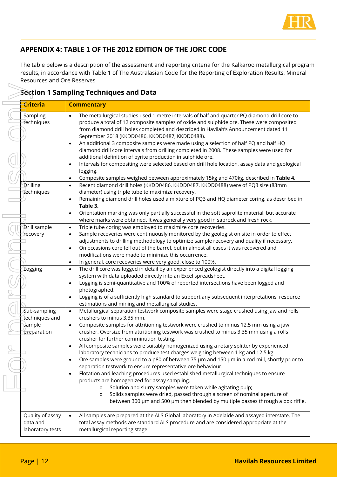

## **APPENDIX 4: TABLE 1 OF THE 2012 EDITION OF THE JORC CODE**

The table below is a description of the assessment and reporting criteria for the Kalkaroo metallurgical program results, in accordance with Table 1 of The Australasian Code for the Reporting of Exploration Results, Mineral Resources and Ore Reserves

### **Section 1 Sampling Techniques and Data**

|                                                         | <b>Section 1 Sampling Techniques and Data</b>                                                                                                                                                                                                                                                                                                                                                                                                                                                                                                                                                                                                                                                                                                |
|---------------------------------------------------------|----------------------------------------------------------------------------------------------------------------------------------------------------------------------------------------------------------------------------------------------------------------------------------------------------------------------------------------------------------------------------------------------------------------------------------------------------------------------------------------------------------------------------------------------------------------------------------------------------------------------------------------------------------------------------------------------------------------------------------------------|
| <b>Criteria</b>                                         | <b>Commentary</b>                                                                                                                                                                                                                                                                                                                                                                                                                                                                                                                                                                                                                                                                                                                            |
| Sampling<br>techniques                                  | The metallurgical studies used 1 metre intervals of half and quarter PQ diamond drill core to<br>$\bullet$<br>produce a total of 12 composite samples of oxide and sulphide ore. These were composited<br>from diamond drill holes completed and described in Havilah's Announcement dated 11<br>September 2018 (KKDD0486, KKDD0487, KKDD0488).<br>An additional 3 composite samples were made using a selection of half PQ and half HQ<br>$\bullet$<br>diamond drill core intervals from drilling completed in 2008. These samples were used for<br>additional definition of pyrite production in sulphide ore.<br>Intervals for compositing were selected based on drill hole location, assay data and geological<br>$\bullet$<br>logging. |
| Drilling                                                | Composite samples weighed between approximately 15kg and 470kg, described in Table 4.<br>$\bullet$<br>Recent diamond drill holes (KKDD0486, KKDD0487, KKDD0488) were of PQ3 size (83mm<br>$\bullet$                                                                                                                                                                                                                                                                                                                                                                                                                                                                                                                                          |
| techniques                                              | diameter) using triple tube to maximize recovery.<br>Remaining diamond drill holes used a mixture of PQ3 and HQ diameter coring, as described in<br>$\bullet$<br>Table 3.<br>Orientation marking was only partially successful in the soft saprolite material, but accurate<br>$\bullet$                                                                                                                                                                                                                                                                                                                                                                                                                                                     |
| <b>Prill sample</b>                                     | where marks were obtained. It was generally very good in saprock and fresh rock.<br>Triple tube coring was employed to maximize core recoveries.<br>$\bullet$                                                                                                                                                                                                                                                                                                                                                                                                                                                                                                                                                                                |
| recovery                                                | Sample recoveries were continuously monitored by the geologist on site in order to effect<br>$\bullet$<br>adjustments to drilling methodology to optimize sample recovery and quality if necessary.<br>On occasions core fell out of the barrel, but in almost all cases it was recovered and<br>$\bullet$                                                                                                                                                                                                                                                                                                                                                                                                                                   |
|                                                         | modifications were made to minimize this occurrence.<br>In general, core recoveries were very good, close to 100%.<br>$\bullet$                                                                                                                                                                                                                                                                                                                                                                                                                                                                                                                                                                                                              |
| Logging                                                 | The drill core was logged in detail by an experienced geologist directly into a digital logging<br>$\bullet$<br>system with data uploaded directly into an Excel spreadsheet.<br>Logging is semi-quantitative and 100% of reported intersections have been logged and<br>$\bullet$                                                                                                                                                                                                                                                                                                                                                                                                                                                           |
|                                                         | photographed.<br>Logging is of a sufficiently high standard to support any subsequent interpretations, resource<br>$\bullet$<br>estimations and mining and metallurgical studies.                                                                                                                                                                                                                                                                                                                                                                                                                                                                                                                                                            |
| Sub-sampling<br>techniques and<br>sample<br>preparation | Metallurgical separation testwork composite samples were stage crushed using jaw and rolls<br>$\bullet$<br>crushers to minus 3.35 mm.<br>Composite samples for attritioning testwork were crushed to minus 12.5 mm using a jaw<br>$\bullet$<br>crusher. Oversize from attritioning testwork was crushed to minus 3.35 mm using a rolls<br>crusher for further comminution testing.                                                                                                                                                                                                                                                                                                                                                           |
|                                                         | All composite samples were suitably homogenized using a rotary splitter by experienced<br>$\bullet$<br>laboratory technicians to produce test charges weighing between 1 kg and 12.5 kg.<br>Ore samples were ground to a p80 of between 75 µm and 150 µm in a rod mill, shortly prior to<br>$\bullet$<br>separation testwork to ensure representative ore behaviour.<br>Flotation and leaching procedures used established metallurgical techniques to ensure<br>$\bullet$<br>products are homogenized for assay sampling.<br>Solution and slurry samples were taken while agitating pulp;<br>$\circ$<br>Solids samples were dried, passed through a screen of nominal aperture of<br>$\circ$                                                |
|                                                         | between 300 µm and 500 µm then blended by multiple passes through a box riffle.                                                                                                                                                                                                                                                                                                                                                                                                                                                                                                                                                                                                                                                              |
| Quality of assay<br>data and<br>laboratory tests        | All samples are prepared at the ALS Global laboratory in Adelaide and assayed interstate. The<br>$\bullet$<br>total assay methods are standard ALS procedure and are considered appropriate at the<br>metallurgical reporting stage.                                                                                                                                                                                                                                                                                                                                                                                                                                                                                                         |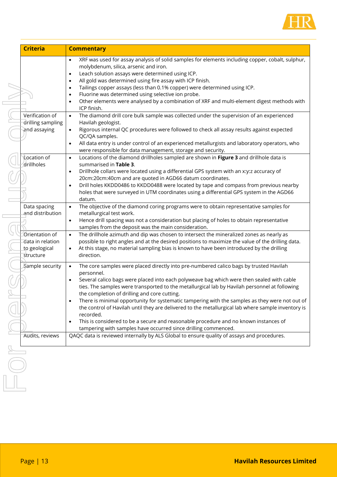

| <b>Criteria</b>                                                  | <b>Commentary</b>                                                                                                                                                                                                                                                                                                                                                                                                                                                                                                                                                                                                                                                                                                                                                        |
|------------------------------------------------------------------|--------------------------------------------------------------------------------------------------------------------------------------------------------------------------------------------------------------------------------------------------------------------------------------------------------------------------------------------------------------------------------------------------------------------------------------------------------------------------------------------------------------------------------------------------------------------------------------------------------------------------------------------------------------------------------------------------------------------------------------------------------------------------|
|                                                                  | XRF was used for assay analysis of solid samples for elements including copper, cobalt, sulphur,<br>$\bullet$<br>molybdenum, silica, arsenic and iron.<br>Leach solution assays were determined using ICP.<br>٠<br>All gold was determined using fire assay with ICP finish.<br>$\bullet$<br>Tailings copper assays (less than 0.1% copper) were determined using ICP.<br>$\bullet$<br>Fluorine was determined using selective ion probe.<br>$\bullet$<br>Other elements were analysed by a combination of XRF and multi-element digest methods with<br>$\bullet$<br>ICP finish.                                                                                                                                                                                         |
| Verification of<br>drilling sampling<br>and assaying             | The diamond drill core bulk sample was collected under the supervision of an experienced<br>$\bullet$<br>Havilah geologist.<br>Rigorous internal QC procedures were followed to check all assay results against expected<br>$\bullet$<br>QC/QA samples.<br>All data entry is under control of an experienced metallurgists and laboratory operators, who<br>$\bullet$<br>were responsible for data management, storage and security.                                                                                                                                                                                                                                                                                                                                     |
| <b>Location</b> of<br>drillholes                                 | Locations of the diamond drillholes sampled are shown in Figure 3 and drillhole data is<br>$\bullet$<br>summarised in Table 3.<br>Drillhole collars were located using a differential GPS system with an x:y:z accuracy of<br>$\bullet$<br>20cm:20cm:40cm and are quoted in AGD66 datum coordinates.<br>Drill holes KKDD0486 to KKDD0488 were located by tape and compass from previous nearby<br>٠<br>holes that were surveyed in UTM coordinates using a differential GPS system in the AGD66<br>datum.                                                                                                                                                                                                                                                                |
| Data spacing<br>and distribution                                 | The objective of the diamond coring programs were to obtain representative samples for<br>$\bullet$<br>metallurgical test work.<br>Hence drill spacing was not a consideration but placing of holes to obtain representative<br>$\bullet$<br>samples from the deposit was the main consideration.                                                                                                                                                                                                                                                                                                                                                                                                                                                                        |
| Orientation of<br>data in relation<br>to geological<br>structure | The drillhole azimuth and dip was chosen to intersect the mineralized zones as nearly as<br>$\bullet$<br>possible to right angles and at the desired positions to maximize the value of the drilling data.<br>At this stage, no material sampling bias is known to have been introduced by the drilling<br>٠<br>direction.                                                                                                                                                                                                                                                                                                                                                                                                                                               |
| Sample security                                                  | The core samples were placed directly into pre-numbered calico bags by trusted Havilah<br>$\bullet$<br>personnel.<br>Several calico bags were placed into each polyweave bag which were then sealed with cable<br>$\bullet$<br>ties. The samples were transported to the metallurgical lab by Havilah personnel at following<br>the completion of drilling and core cutting.<br>There is minimal opportunity for systematic tampering with the samples as they were not out of<br>the control of Havilah until they are delivered to the metallurgical lab where sample inventory is<br>recorded.<br>This is considered to be a secure and reasonable procedure and no known instances of<br>$\bullet$<br>tampering with samples have occurred since drilling commenced. |
| Audits, reviews                                                  | QAQC data is reviewed internally by ALS Global to ensure quality of assays and procedures.                                                                                                                                                                                                                                                                                                                                                                                                                                                                                                                                                                                                                                                                               |
|                                                                  |                                                                                                                                                                                                                                                                                                                                                                                                                                                                                                                                                                                                                                                                                                                                                                          |